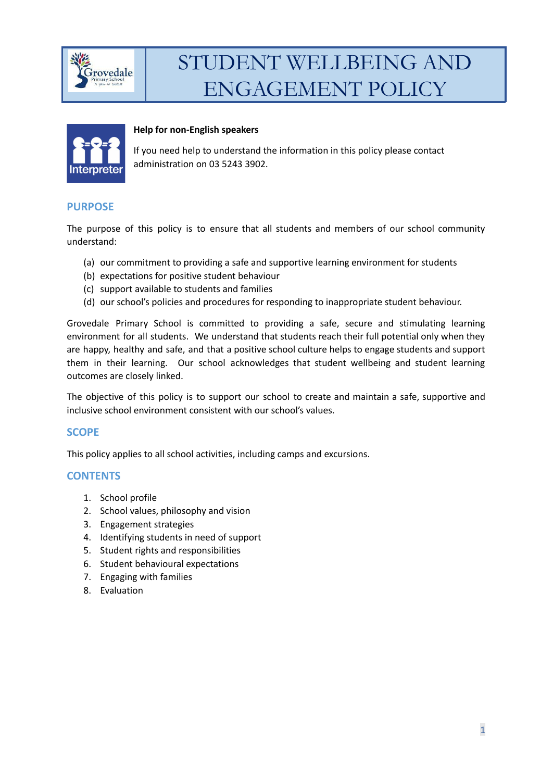



#### **Help for non-English speakers**

If you need help to understand the information in this policy please contact administration on 03 5243 3902.

#### **PURPOSE**

The purpose of this policy is to ensure that all students and members of our school community understand:

- (a) our commitment to providing a safe and supportive learning environment for students
- (b) expectations for positive student behaviour
- (c) support available to students and families
- (d) our school's policies and procedures for responding to inappropriate student behaviour.

Grovedale Primary School is committed to providing a safe, secure and stimulating learning environment for all students. We understand that students reach their full potential only when they are happy, healthy and safe, and that a positive school culture helps to engage students and support them in their learning. Our school acknowledges that student wellbeing and student learning outcomes are closely linked.

The objective of this policy is to support our school to create and maintain a safe, supportive and inclusive school environment consistent with our school's values.

## **SCOPE**

This policy applies to all school activities, including camps and excursions.

#### **CONTENTS**

- 1. School profile
- 2. School values, philosophy and vision
- 3. Engagement strategies
- 4. Identifying students in need of support
- 5. Student rights and responsibilities
- 6. Student behavioural expectations
- 7. Engaging with families
- 8. Evaluation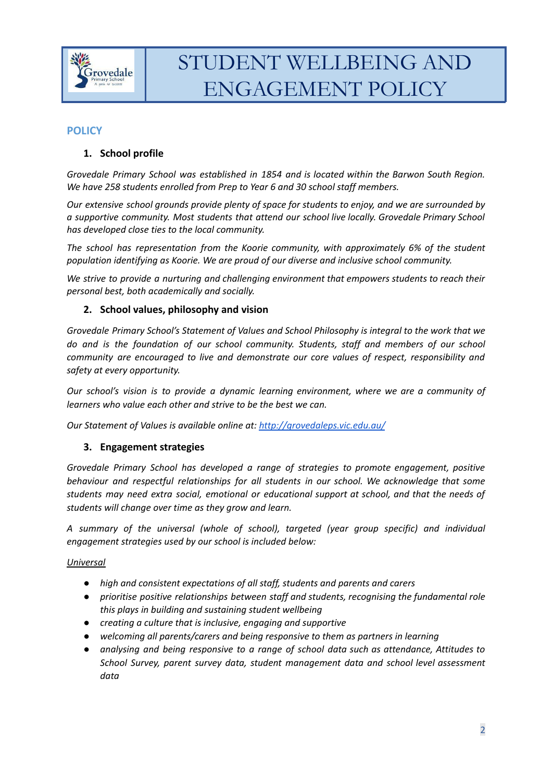

## **POLICY**

## **1. School profile**

*Grovedale Primary School was established in 1854 and is located within the Barwon South Region. We have 258 students enrolled from Prep to Year 6 and 30 school staff members.*

*Our extensive school grounds provide plenty of space for students to enjoy, and we are surrounded by a supportive community. Most students that attend our school live locally. Grovedale Primary School has developed close ties to the local community.*

*The school has representation from the Koorie community, with approximately 6% of the student population identifying as Koorie. We are proud of our diverse and inclusive school community.*

*We strive to provide a nurturing and challenging environment that empowers students to reach their personal best, both academically and socially.*

#### **2. School values, philosophy and vision**

*Grovedale Primary School's Statement of Values and School Philosophy is integral to the work that we do and is the foundation of our school community. Students, staff and members of our school community are encouraged to live and demonstrate our core values of respect, responsibility and safety at every opportunity.*

*Our school's vision is to provide a dynamic learning environment, where we are a community of learners who value each other and strive to be the best we can.*

*Our Statement of Values is available online at: <http://grovedaleps.vic.edu.au/>*

#### **3. Engagement strategies**

*Grovedale Primary School has developed a range of strategies to promote engagement, positive behaviour and respectful relationships for all students in our school. We acknowledge that some students may need extra social, emotional or educational support at school, and that the needs of students will change over time as they grow and learn.*

*A summary of the universal (whole of school), targeted (year group specific) and individual engagement strategies used by our school is included below:*

#### *Universal*

- *● high and consistent expectations of all staff, students and parents and carers*
- *● prioritise positive relationships between staff and students, recognising the fundamental role this plays in building and sustaining student wellbeing*
- *● creating a culture that is inclusive, engaging and supportive*
- *● welcoming all parents/carers and being responsive to them as partners in learning*
- *● analysing and being responsive to a range of school data such as attendance, Attitudes to School Survey, parent survey data, student management data and school level assessment data*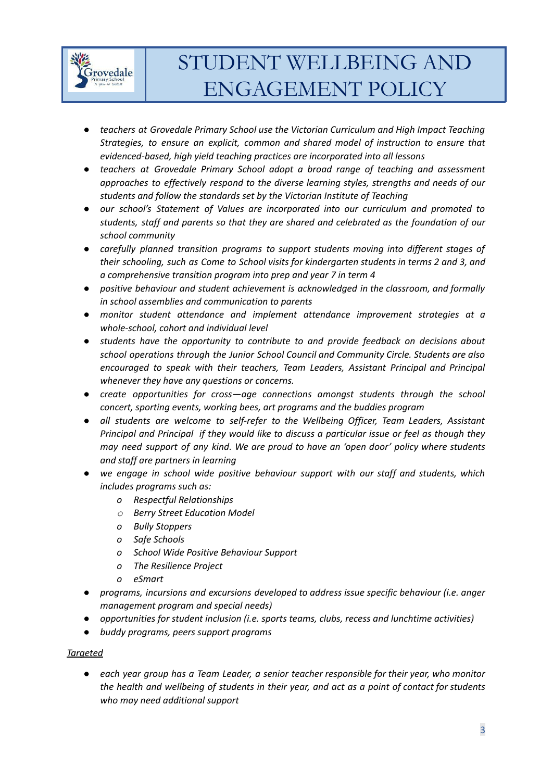

- *● teachers at Grovedale Primary School use the Victorian Curriculum and High Impact Teaching Strategies, to ensure an explicit, common and shared model of instruction to ensure that evidenced-based, high yield teaching practices are incorporated into all lessons*
- *● teachers at Grovedale Primary School adopt a broad range of teaching and assessment approaches to effectively respond to the diverse learning styles, strengths and needs of our students and follow the standards set by the Victorian Institute of Teaching*
- *● our school's Statement of Values are incorporated into our curriculum and promoted to students, staff and parents so that they are shared and celebrated as the foundation of our school community*
- *● carefully planned transition programs to support students moving into different stages of their schooling, such as Come to School visits for kindergarten students in terms 2 and 3, and a comprehensive transition program into prep and year 7 in term 4*
- *● positive behaviour and student achievement is acknowledged in the classroom, and formally in school assemblies and communication to parents*
- *● monitor student attendance and implement attendance improvement strategies at a whole-school, cohort and individual level*
- *● students have the opportunity to contribute to and provide feedback on decisions about school operations through the Junior School Council and Community Circle. Students are also encouraged to speak with their teachers, Team Leaders, Assistant Principal and Principal whenever they have any questions or concerns.*
- *● create opportunities for cross—age connections amongst students through the school concert, sporting events, working bees, art programs and the buddies program*
- *● all students are welcome to self-refer to the Wellbeing Officer, Team Leaders, Assistant Principal and Principal if they would like to discuss a particular issue or feel as though they may need support of any kind. We are proud to have an 'open door' policy where students and staff are partners in learning*
- *● we engage in school wide positive behaviour support with our staff and students, which includes programs such as:*
	- *o Respectful Relationships*
	- *o Berry Street Education Model*
	- *o Bully Stoppers*
	- *o Safe Schools*
	- *o School Wide Positive Behaviour Support*
	- *o The Resilience Project*
	- *o eSmart*
- *● programs, incursions and excursions developed to address issue specific behaviour (i.e. anger management program and special needs)*
- *● opportunities for student inclusion (i.e. sports teams, clubs, recess and lunchtime activities)*
- *● buddy programs, peers support programs*

#### *Targeted*

*● each year group has a Team Leader, a senior teacher responsible for their year, who monitor the health and wellbeing of students in their year, and act as a point of contact for students who may need additional support*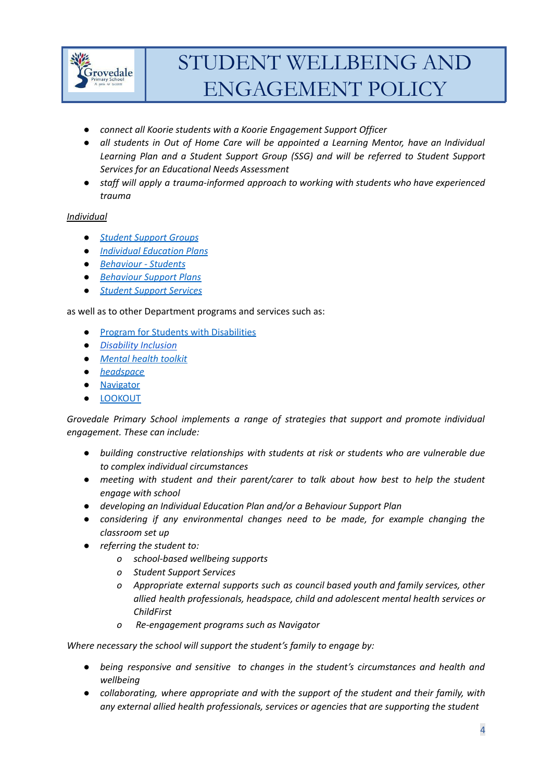

- *● connect all Koorie students with a Koorie Engagement Support Officer*
- *● all students in Out of Home Care will be appointed a Learning Mentor, have an Individual Learning Plan and a Student Support Group (SSG) and will be referred to Student Support Services for an Educational Needs Assessment*
- *● staff will apply a trauma-informed approach to working with students who have experienced trauma*

#### *Individual*

- *● Student [Support](https://www2.education.vic.gov.au/pal/student-support-groups/policy) Groups*
- *● Individual [Education](https://www2.education.vic.gov.au/pal/individual-education-plans-ieps/policy) Plans*
- *● [Behaviour](https://www2.education.vic.gov.au/pal/behaviour-students/policy) - Students*
- *● [Behaviour](https://www2.education.vic.gov.au/pal/behaviour-students/guidance/6-behaviour-support-plans) Support Plans*
- *● Student Support [Services](https://www2.education.vic.gov.au/pal/student-support-services/policy)*

as well as to other Department programs and services such as:

- *●* Program for Students with [Disabilities](https://www.education.vic.gov.au/school/teachers/learningneeds/Pages/psd.aspx)
- *● [Disability](https://www.education.vic.gov.au/school/teachers/learningneeds/Pages/disability-inclusion.aspx) Inclusion*
- *● [Mental](https://www.education.vic.gov.au/school/teachers/health/mentalhealth/Pages/mentalhealthtoolkit.aspx) health toolkit*
- *● [headspace](https://www.education.vic.gov.au/school/teachers/health/mentalhealth/Pages/headspace-counselling-secondary.aspx)*
- *●* [Navigator](https://www.education.vic.gov.au/school/teachers/behaviour/engagement/Pages/navigator.aspx)
- *●* [LOOKOUT](https://www.education.vic.gov.au/about/programs/Pages/lookout.aspx)

*Grovedale Primary School implements a range of strategies that support and promote individual engagement. These can include:*

- *● building constructive relationships with students at risk or students who are vulnerable due to complex individual circumstances*
- *● meeting with student and their parent/carer to talk about how best to help the student engage with school*
- *● developing an Individual Education Plan and/or a Behaviour Support Plan*
- *● considering if any environmental changes need to be made, for example changing the classroom set up*
- *● referring the student to:*
	- *o school-based wellbeing supports*
	- *o Student Support Services*
	- *o Appropriate external supports such as council based youth and family services, other allied health professionals, headspace, child and adolescent mental health services or ChildFirst*
	- *o Re-engagement programs such as Navigator*

*Where necessary the school will support the student's family to engage by:*

- *● being responsive and sensitive to changes in the student's circumstances and health and wellbeing*
- *● collaborating, where appropriate and with the support of the student and their family, with any external allied health professionals, services or agencies that are supporting the student*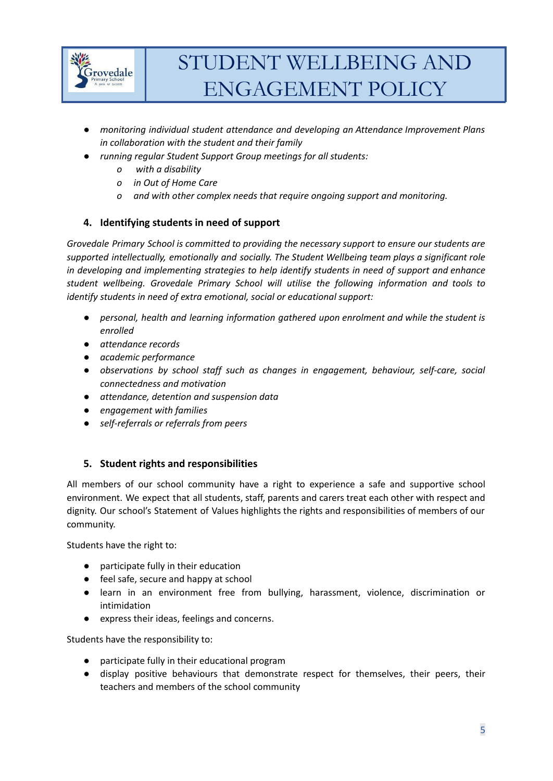

- *● monitoring individual student attendance and developing an Attendance Improvement Plans in collaboration with the student and their family*
- *● running regular Student Support Group meetings for all students:*
	- *o with a disability*
	- *o in Out of Home Care*
	- *o and with other complex needs that require ongoing support and monitoring.*

## **4. Identifying students in need of support**

*Grovedale Primary School is committed to providing the necessary support to ensure our students are supported intellectually, emotionally and socially. The Student Wellbeing team plays a significant role in developing and implementing strategies to help identify students in need of support and enhance student wellbeing. Grovedale Primary School will utilise the following information and tools to identify students in need of extra emotional, social or educational support:*

- *● personal, health and learning information gathered upon enrolment and while the student is enrolled*
- *● attendance records*
- *● academic performance*
- *● observations by school staff such as changes in engagement, behaviour, self-care, social connectedness and motivation*
- *● attendance, detention and suspension data*
- *● engagement with families*
- *● self-referrals or referrals from peers*

## **5. Student rights and responsibilities**

All members of our school community have a right to experience a safe and supportive school environment. We expect that all students, staff, parents and carers treat each other with respect and dignity. Our school's Statement of Values highlights the rights and responsibilities of members of our community.

Students have the right to:

- participate fully in their education
- feel safe, secure and happy at school
- learn in an environment free from bullying, harassment, violence, discrimination or intimidation
- express their ideas, feelings and concerns.

Students have the responsibility to:

- participate fully in their educational program
- display positive behaviours that demonstrate respect for themselves, their peers, their teachers and members of the school community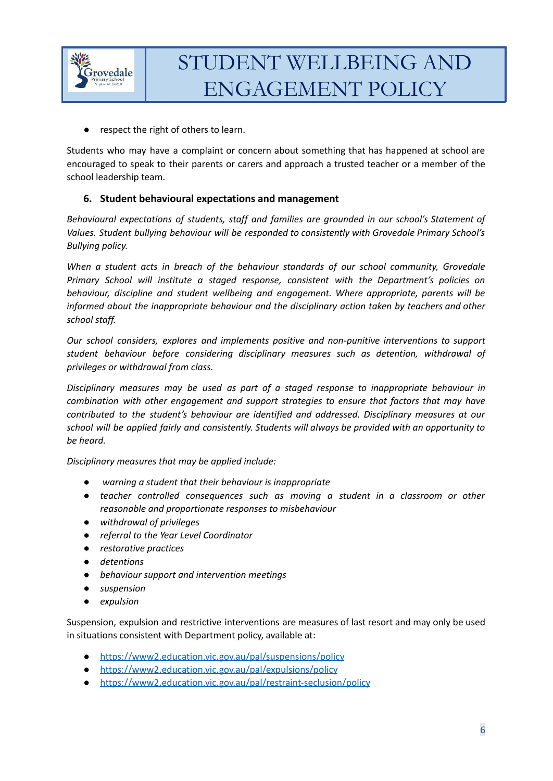

● respect the right of others to learn.

Students who may have a complaint or concern about something that has happened at school are encouraged to speak to their parents or carers and approach a trusted teacher or a member of the school leadership team.

## **6. Student behavioural expectations and management**

*Behavioural expectations of students, staff and families are grounded in our school's Statement of Values. Student bullying behaviour will be responded to consistently with Grovedale Primary School's Bullying policy.*

*When a student acts in breach of the behaviour standards of our school community, Grovedale Primary School will institute a staged response, consistent with the Department's policies on behaviour, discipline and student wellbeing and engagement. Where appropriate, parents will be informed about the inappropriate behaviour and the disciplinary action taken by teachers and other school staff.*

*Our school considers, explores and implements positive and non-punitive interventions to support student behaviour before considering disciplinary measures such as detention, withdrawal of privileges or withdrawal from class.*

*Disciplinary measures may be used as part of a staged response to inappropriate behaviour in combination with other engagement and support strategies to ensure that factors that may have contributed to the student's behaviour are identified and addressed. Disciplinary measures at our school will be applied fairly and consistently. Students will always be provided with an opportunity to be heard.*

*Disciplinary measures that may be applied include:*

- *● warning a student that their behaviour is inappropriate*
- *● teacher controlled consequences such as moving a student in a classroom or other reasonable and proportionate responses to misbehaviour*
- *● withdrawal of privileges*
- *● referral to the Year Level Coordinator*
- *● restorative practices*
- *● detentions*
- *● behaviour support and intervention meetings*
- *● suspension*
- *● expulsion*

Suspension, expulsion and restrictive interventions are measures of last resort and may only be used in situations consistent with Department policy, available at:

- <https://www2.education.vic.gov.au/pal/suspensions/policy>
- <https://www2.education.vic.gov.au/pal/expulsions/policy>
- <https://www2.education.vic.gov.au/pal/restraint-seclusion/policy>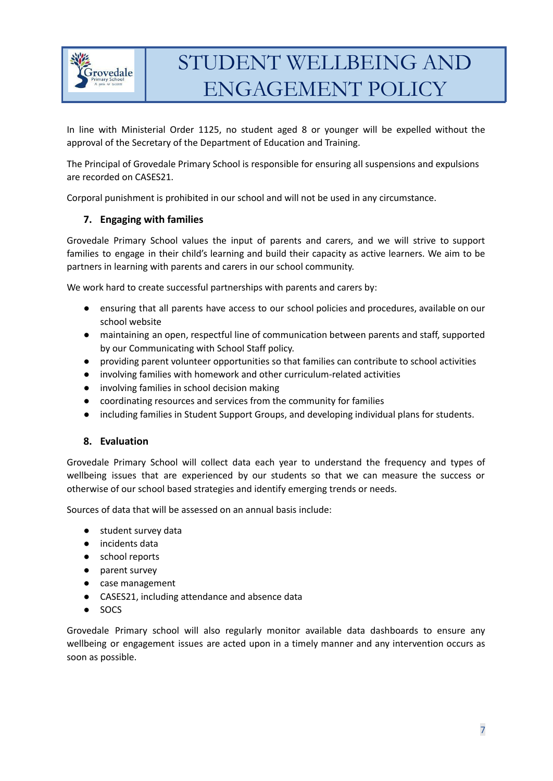

In line with Ministerial Order 1125, no student aged 8 or younger will be expelled without the approval of the Secretary of the Department of Education and Training.

The Principal of Grovedale Primary School is responsible for ensuring all suspensions and expulsions are recorded on CASES21.

Corporal punishment is prohibited in our school and will not be used in any circumstance.

### **7. Engaging with families**

Grovedale Primary School values the input of parents and carers, and we will strive to support families to engage in their child's learning and build their capacity as active learners. We aim to be partners in learning with parents and carers in our school community.

We work hard to create successful partnerships with parents and carers by:

- ensuring that all parents have access to our school policies and procedures, available on our school website
- maintaining an open, respectful line of communication between parents and staff, supported by our Communicating with School Staff policy.
- providing parent volunteer opportunities so that families can contribute to school activities
- involving families with homework and other curriculum-related activities
- involving families in school decision making
- coordinating resources and services from the community for families
- including families in Student Support Groups, and developing individual plans for students.

#### **8. Evaluation**

Grovedale Primary School will collect data each year to understand the frequency and types of wellbeing issues that are experienced by our students so that we can measure the success or otherwise of our school based strategies and identify emerging trends or needs.

Sources of data that will be assessed on an annual basis include:

- student survey data
- incidents data
- school reports
- parent survey
- case management
- CASES21, including attendance and absence data
- SOCS

Grovedale Primary school will also regularly monitor available data dashboards to ensure any wellbeing or engagement issues are acted upon in a timely manner and any intervention occurs as soon as possible.